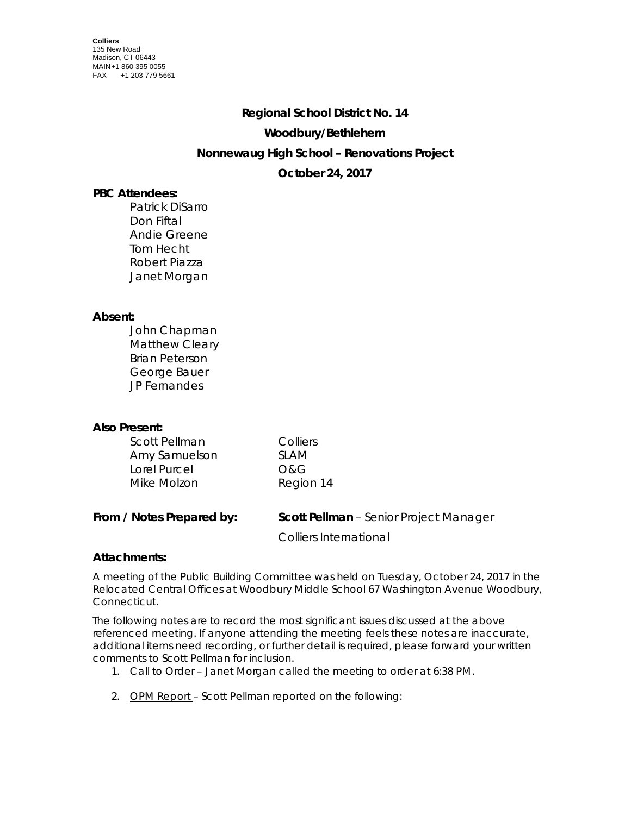# **Regional School District No. 14 Woodbury/Bethlehem Nonnewaug High School – Renovations Project October 24, 2017**

## **PBC Attendees:**

Patrick DiSarro Don Fiftal Andie Greene Tom Hecht Robert Piazza Janet Morgan

## **Absent:**

| John Chapman          |
|-----------------------|
| Matthew Cleary        |
| <b>Brian Peterson</b> |
| George Bauer          |
| JP Fernandes          |

## **Also Present:**

| Scott Pellman | Colliers  |
|---------------|-----------|
| Amy Samuelson | SI AM     |
| Lorel Purcel  | O&G       |
| Mike Molzon   | Region 14 |

| From / Notes Prepared by: | <b>Scott Pellman</b> - Senior Project Manager |
|---------------------------|-----------------------------------------------|
|                           |                                               |

Colliers International

## **Attachments:**

A meeting of the Public Building Committee was held on Tuesday, October 24, 2017 in the Relocated Central Offices at Woodbury Middle School 67 Washington Avenue Woodbury, Connecticut.

The following notes are to record the most significant issues discussed at the above referenced meeting. If anyone attending the meeting feels these notes are inaccurate, additional items need recording, or further detail is required, please forward your written comments to Scott Pellman for inclusion.

- 1. Call to Order Janet Morgan called the meeting to order at 6:38 PM.
- 2. OPM Report Scott Pellman reported on the following: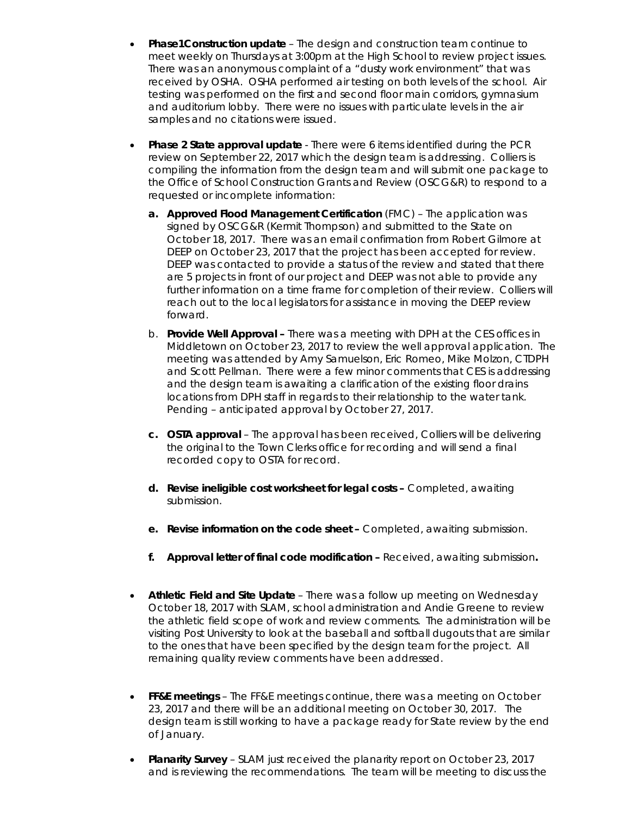- **Phase1Construction update** The design and construction team continue to meet weekly on Thursdays at 3:00pm at the High School to review project issues. There was an anonymous complaint of a "dusty work environment" that was received by OSHA. OSHA performed air testing on both levels of the school. Air testing was performed on the first and second floor main corridors, gymnasium and auditorium lobby. There were no issues with particulate levels in the air samples and no citations were issued.
- **Phase 2 State approval update** There were 6 items identified during the PCR review on September 22, 2017 which the design team is addressing. Colliers is compiling the information from the design team and will submit one package to the Office of School Construction Grants and Review (OSCG&R) to respond to a requested or incomplete information:
	- **a. Approved Flood Management Certification** (FMC) The application was signed by OSCG&R (Kermit Thompson) and submitted to the State on October 18, 2017. There was an email confirmation from Robert Gilmore at DEEP on October 23, 2017 that the project has been accepted for review. DEEP was contacted to provide a status of the review and stated that there are 5 projects in front of our project and DEEP was not able to provide any further information on a time frame for completion of their review. Colliers will reach out to the local legislators for assistance in moving the DEEP review forward.
	- b. **Provide Well Approval –** There was a meeting with DPH at the CES offices in Middletown on October 23, 2017 to review the well approval application. The meeting was attended by Amy Samuelson, Eric Romeo, Mike Molzon, CTDPH and Scott Pellman. There were a few minor comments that CES is addressing and the design team is awaiting a clarification of the existing floor drains locations from DPH staff in regards to their relationship to the water tank. Pending – anticipated approval by October 27, 2017.
	- **c. OSTA approval** The approval has been received, Colliers will be delivering the original to the Town Clerks office for recording and will send a final recorded copy to OSTA for record.
	- **d. Revise ineligible cost worksheet for legal costs –** Completed, awaiting submission.
	- **e. Revise information on the code sheet –** Completed, awaiting submission.
	- **f. Approval letter of final code modification –** Received, awaiting submission**.**
- **Athletic Field and Site Update**  There was a follow up meeting on Wednesday October 18, 2017 with SLAM, school administration and Andie Greene to review the athletic field scope of work and review comments. The administration will be visiting Post University to look at the baseball and softball dugouts that are similar to the ones that have been specified by the design team for the project. All remaining quality review comments have been addressed.
- **FF&E meetings** The FF&E meetings continue, there was a meeting on October 23, 2017 and there will be an additional meeting on October 30, 2017. The design team is still working to have a package ready for State review by the end of January.
- **Planarity Survey**  SLAM just received the planarity report on October 23, 2017 and is reviewing the recommendations. The team will be meeting to discuss the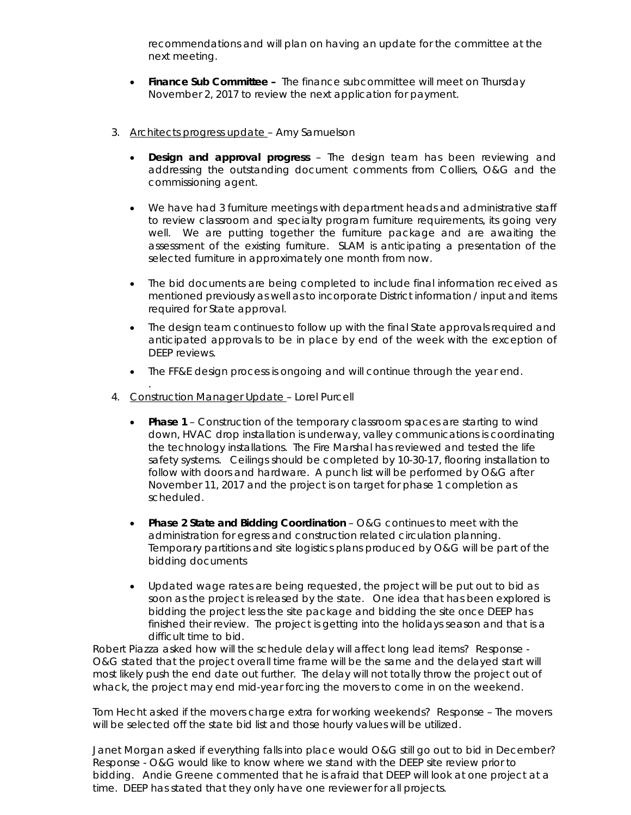recommendations and will plan on having an update for the committee at the next meeting.

- **Finance Sub Committee** The finance subcommittee will meet on Thursday November 2, 2017 to review the next application for payment.
- 3. Architects progress update Amy Samuelson
	- **Design and approval progress** The design team has been reviewing and addressing the outstanding document comments from Colliers, O&G and the commissioning agent.
	- We have had 3 furniture meetings with department heads and administrative staff to review classroom and specialty program furniture requirements, its going very well. We are putting together the furniture package and are awaiting the assessment of the existing furniture. SLAM is anticipating a presentation of the selected furniture in approximately one month from now.
	- The bid documents are being completed to include final information received as mentioned previously as well as to incorporate District information / input and items required for State approval.
	- The design team continues to follow up with the final State approvals required and anticipated approvals to be in place by end of the week with the exception of DEEP reviews.
	- The FF&E design process is ongoing and will continue through the year end.
- . 4. Construction Manager Update – Lorel Purcell
	- **Phase 1**  Construction of the temporary classroom spaces are starting to wind down, HVAC drop installation is underway, valley communications is coordinating the technology installations. The Fire Marshal has reviewed and tested the life safety systems. Ceilings should be completed by 10-30-17, flooring installation to follow with doors and hardware. A punch list will be performed by O&G after November 11, 2017 and the project is on target for phase 1 completion as scheduled.
	- **Phase 2 State and Bidding Coordination** O&G continues to meet with the administration for egress and construction related circulation planning. Temporary partitions and site logistics plans produced by O&G will be part of the bidding documents
	- Updated wage rates are being requested, the project will be put out to bid as soon as the project is released by the state. One idea that has been explored is bidding the project less the site package and bidding the site once DEEP has finished their review. The project is getting into the holidays season and that is a difficult time to bid.

Robert Piazza asked how will the schedule delay will affect long lead items? Response - O&G stated that the project overall time frame will be the same and the delayed start will most likely push the end date out further. The delay will not totally throw the project out of whack, the project may end mid-year forcing the movers to come in on the weekend.

Tom Hecht asked if the movers charge extra for working weekends? Response – The movers will be selected off the state bid list and those hourly values will be utilized.

Janet Morgan asked if everything falls into place would O&G still go out to bid in December? Response - O&G would like to know where we stand with the DEEP site review prior to bidding. Andie Greene commented that he is afraid that DEEP will look at one project at a time. DEEP has stated that they only have one reviewer for all projects.